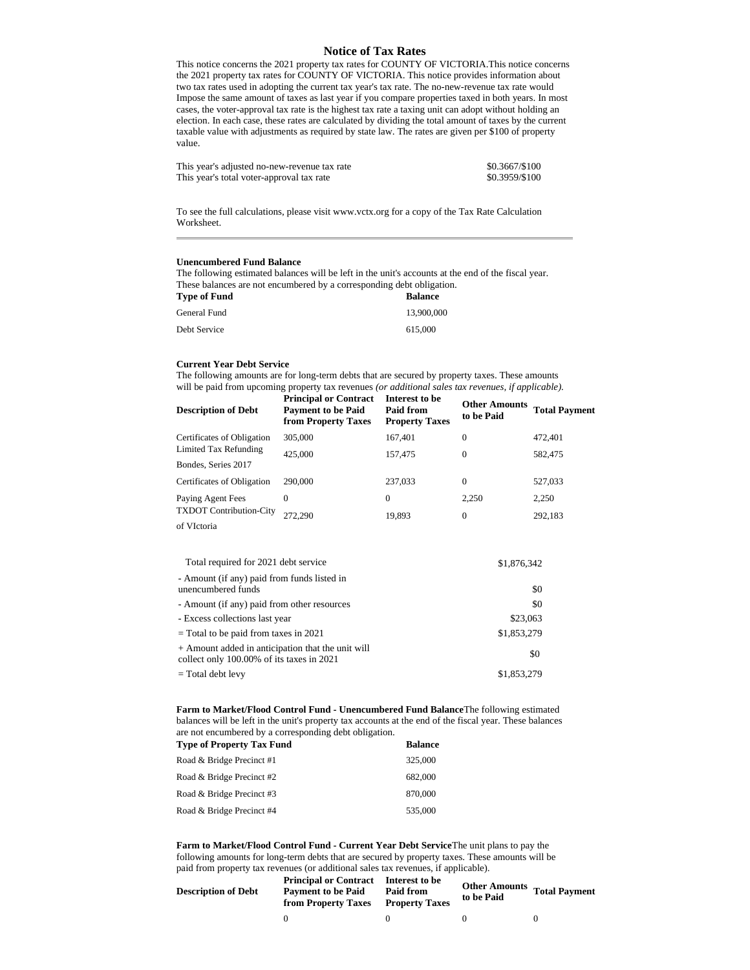## **Notice of Tax Rates**

This notice concerns the 2021 property tax rates for COUNTY OF VICTORIA.This notice concerns the 2021 property tax rates for COUNTY OF VICTORIA. This notice provides information about two tax rates used in adopting the current tax year's tax rate. The no-new-revenue tax rate would Impose the same amount of taxes as last year if you compare properties taxed in both years. In most cases, the voter-approval tax rate is the highest tax rate a taxing unit can adopt without holding an election. In each case, these rates are calculated by dividing the total amount of taxes by the current taxable value with adjustments as required by state law. The rates are given per \$100 of property value.

| This year's adjusted no-new-revenue tax rate | \$0.3667/\$100 |
|----------------------------------------------|----------------|
| This year's total voter-approval tax rate    | \$0.3959/\$100 |

To see the full calculations, please visit www.vctx.org for a copy of the Tax Rate Calculation Worksheet.

## **Unencumbered Fund Balance**

The following estimated balances will be left in the unit's accounts at the end of the fiscal year. These balances are not encumbered by a corresponding debt obligation.

| Type of Fund | <b>Balance</b> |
|--------------|----------------|
| General Fund | 13,900,000     |
| Debt Service | 615,000        |

## **Current Year Debt Service**

The following amounts are for long-term debts that are secured by property taxes. These amounts will be paid from upcoming property tax revenues *(or additional sales tax revenues, if applicable).*

| <b>Description of Debt</b>     | <b>Principal or Contract</b><br><b>Payment to be Paid</b><br>from Property Taxes | Interest to be<br>Paid from<br><b>Property Taxes</b> | <b>Other Amounts</b><br>to be Paid | <b>Total Payment</b> |
|--------------------------------|----------------------------------------------------------------------------------|------------------------------------------------------|------------------------------------|----------------------|
| Certificates of Obligation     | 305,000                                                                          | 167,401                                              | 0                                  | 472.401              |
| Limited Tax Refunding          | 425,000                                                                          | 157,475                                              | $\mathbf{0}$                       | 582,475              |
| Bondes, Series 2017            |                                                                                  |                                                      |                                    |                      |
| Certificates of Obligation     | 290,000                                                                          | 237,033                                              | $\mathbf{0}$                       | 527,033              |
| Paying Agent Fees              | $\Omega$                                                                         | 0                                                    | 2,250                              | 2,250                |
| <b>TXDOT Contribution-City</b> | 272.290                                                                          | 19,893                                               | 0                                  | 292,183              |
| of VIctoria                    |                                                                                  |                                                      |                                    |                      |

| Total required for 2021 debt service                                                           | \$1,876,342 |
|------------------------------------------------------------------------------------------------|-------------|
| - Amount (if any) paid from funds listed in<br>unencumbered funds                              | \$0         |
| - Amount (if any) paid from other resources                                                    | \$0         |
| - Excess collections last year                                                                 | \$23,063    |
| = Total to be paid from taxes in 2021                                                          | \$1,853,279 |
| + Amount added in anticipation that the unit will<br>collect only 100.00% of its taxes in 2021 | \$0         |
| = Total debt levy                                                                              | \$1,853,279 |

**Farm to Market/Flood Control Fund - Unencumbered Fund Balance**The following estimated balances will be left in the unit's property tax accounts at the end of the fiscal year. These balances are not encumbered by a corresponding debt obligation.

| <b>Type of Property Tax Fund</b> | <b>Balance</b> |
|----------------------------------|----------------|
| Road & Bridge Precinct #1        | 325,000        |
| Road & Bridge Precinct #2        | 682,000        |
| Road & Bridge Precinct #3        | 870,000        |
| Road & Bridge Precinct #4        | 535,000        |

**Farm to Market/Flood Control Fund - Current Year Debt Service**The unit plans to pay the following amounts for long-term debts that are secured by property taxes. These amounts will be paid from property tax revenues (or additional sales tax revenues, if applicable).

| <b>Description of Debt</b> | <b>Principal or Contract</b> Interest to be<br><b>Payment to be Paid</b><br>from Property Taxes | Paid from<br><b>Property Taxes</b> | Other Amounts Total Paymer<br>to be Paid |  |
|----------------------------|-------------------------------------------------------------------------------------------------|------------------------------------|------------------------------------------|--|
|                            |                                                                                                 |                                    |                                          |  |